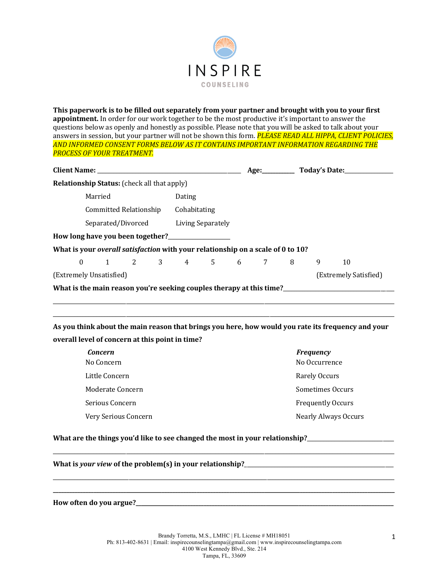

**This paperwork is to be filled out separately from your partner and brought with you to your first appointment.** In order for our work together to be the most productive it's important to answer the questions below as openly and honestly as possible. Please note that you will be asked to talk about your answers in session, but your partner will not be shown this form. **PLEASE READ ALL HIPPA, CLIENT POLICIES**, AND INFORMED CONSENT FORMS BELOW AS IT CONTAINS IMPORTANT INFORMATION REGARDING THE **PROCESS OF YOUR TREATMENT.** 

| Client Name: Name and South Assembly and South Assembly and South Assembly and South Assembly and South Assembly |                                                                                 |  |  |  |              |  |  |                     |  |                       |    |  |
|------------------------------------------------------------------------------------------------------------------|---------------------------------------------------------------------------------|--|--|--|--------------|--|--|---------------------|--|-----------------------|----|--|
| <b>Relationship Status:</b> (check all that apply)                                                               |                                                                                 |  |  |  |              |  |  |                     |  |                       |    |  |
|                                                                                                                  | Married                                                                         |  |  |  | Dating       |  |  |                     |  |                       |    |  |
|                                                                                                                  | Committed Relationship                                                          |  |  |  | Cohabitating |  |  |                     |  |                       |    |  |
|                                                                                                                  | Separated/Divorced Living Separately                                            |  |  |  |              |  |  |                     |  |                       |    |  |
|                                                                                                                  | How long have you been together?                                                |  |  |  |              |  |  |                     |  |                       |    |  |
|                                                                                                                  | What is your overall satisfaction with your relationship on a scale of 0 to 10? |  |  |  |              |  |  |                     |  |                       |    |  |
|                                                                                                                  |                                                                                 |  |  |  |              |  |  | 0 1 2 3 4 5 6 7 8 9 |  |                       | 10 |  |
| (Extremely Unsatisfied)                                                                                          |                                                                                 |  |  |  |              |  |  |                     |  | (Extremely Satisfied) |    |  |
|                                                                                                                  |                                                                                 |  |  |  |              |  |  |                     |  |                       |    |  |
|                                                                                                                  |                                                                                 |  |  |  |              |  |  |                     |  |                       |    |  |

As you think about the main reason that brings you here, how would you rate its frequency and your overall level of concern at this point in time?

\_\_\_\_\_\_\_\_\_\_\_\_\_\_\_\_\_\_\_\_\_\_\_\_\_\_\_\_\_\_\_\_\_\_\_\_\_\_\_\_\_\_\_\_\_\_\_\_\_\_\_\_\_\_\_\_\_\_\_\_\_\_\_\_\_\_\_\_\_\_\_\_\_\_\_\_\_\_\_\_\_\_\_\_\_\_\_\_\_\_\_\_\_\_\_\_\_\_\_\_\_\_\_\_\_\_\_\_\_\_\_\_\_\_\_\_\_\_\_\_\_\_\_\_\_\_

| <b>Concern</b>       | <b>Frequency</b>            |
|----------------------|-----------------------------|
| No Concern           | No Occurrence               |
| Little Concern       | Rarely Occurs               |
| Moderate Concern     | Sometimes Occurs            |
| Serious Concern      | <b>Frequently Occurs</b>    |
| Very Serious Concern | <b>Nearly Always Occurs</b> |

What are the things you'd like to see changed the most in your relationship?\_\_\_\_\_\_\_\_\_\_\_\_\_\_\_\_\_\_\_\_\_\_\_\_\_\_\_\_\_\_\_\_\_\_

What is *your view* of the problem(s) in your relationship?\_\_\_\_\_\_\_\_\_\_\_\_\_\_\_\_\_\_\_\_\_\_

**How often do you argue?\_\_\_\_\_\_\_\_\_\_\_\_\_\_\_\_\_\_\_\_\_\_\_\_\_\_\_\_\_\_\_\_\_\_\_\_\_\_\_\_\_\_\_\_\_\_\_\_\_\_\_\_\_\_\_\_\_\_\_\_\_\_\_\_\_\_\_\_\_\_\_\_\_\_\_\_\_\_\_\_\_\_\_\_\_\_\_\_\_\_\_\_\_\_\_**

\_\_\_\_\_\_\_\_\_\_\_\_\_\_\_\_\_\_\_\_\_\_\_\_\_\_\_\_\_\_\_\_\_\_\_\_\_\_\_\_\_\_\_\_\_\_\_\_\_\_\_\_\_\_\_\_\_\_\_\_\_\_\_\_\_\_\_\_\_\_\_\_\_\_\_\_\_\_\_\_\_\_\_\_\_\_\_\_\_\_\_\_\_\_\_\_\_\_\_\_\_\_\_\_\_\_\_\_\_\_\_\_\_\_\_\_\_\_\_\_\_\_\_\_\_\_

\_\_\_\_\_\_\_\_\_\_\_\_\_\_\_\_\_\_\_\_\_\_\_\_\_\_\_\_\_\_\_\_\_\_\_\_\_\_\_\_\_\_\_\_\_\_\_\_\_\_\_\_\_\_\_\_\_\_\_\_\_\_\_\_\_\_\_\_\_\_\_\_\_\_\_\_\_\_\_\_\_\_\_\_\_\_\_\_\_\_\_\_\_\_\_\_\_\_\_\_\_\_\_\_\_\_\_\_\_\_\_\_\_\_\_\_\_\_\_\_\_\_\_\_\_\_ **\_\_\_\_\_\_\_\_\_\_\_\_\_\_\_\_\_\_\_\_\_\_\_\_\_\_\_\_\_\_\_\_\_\_\_\_\_\_\_\_\_\_\_\_\_\_\_\_\_\_\_\_\_\_\_\_\_\_\_\_\_\_\_\_\_\_\_\_\_\_\_\_\_\_\_\_\_\_\_\_\_\_\_\_\_\_\_\_\_\_\_\_\_\_\_\_\_\_\_\_\_\_\_\_\_\_\_\_\_\_\_\_\_\_\_\_\_\_\_\_\_\_\_\_\_\_**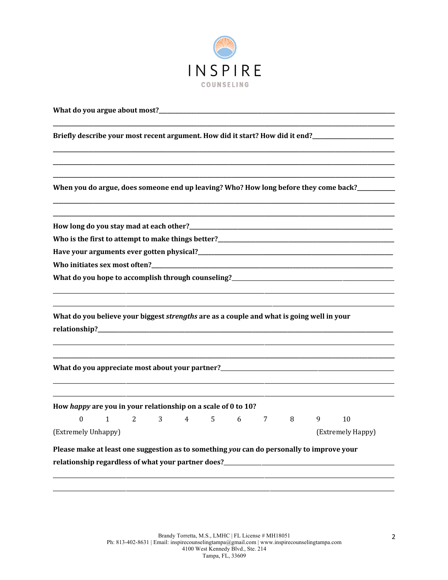

| What do you argue about most?___                                                                                                                          |              |   |   |                |             |             |   |   |                                                                                            |
|-----------------------------------------------------------------------------------------------------------------------------------------------------------|--------------|---|---|----------------|-------------|-------------|---|---|--------------------------------------------------------------------------------------------|
| Briefly describe your most recent argument. How did it start? How did it end?________________                                                             |              |   |   |                |             |             |   |   |                                                                                            |
|                                                                                                                                                           |              |   |   |                |             |             |   |   |                                                                                            |
|                                                                                                                                                           |              |   |   |                |             |             |   |   |                                                                                            |
|                                                                                                                                                           |              |   |   |                |             |             |   |   | When you do argue, does someone end up leaving? Who? How long before they come back?______ |
|                                                                                                                                                           |              |   |   |                |             |             |   |   |                                                                                            |
|                                                                                                                                                           |              |   |   |                |             |             |   |   |                                                                                            |
|                                                                                                                                                           |              |   |   |                |             |             |   |   |                                                                                            |
|                                                                                                                                                           |              |   |   |                |             |             |   |   |                                                                                            |
| What do you hope to accomplish through counseling?_______________________________                                                                         |              |   |   |                |             |             |   |   |                                                                                            |
| What do you believe your biggest strengths are as a couple and what is going well in your                                                                 |              |   |   |                |             |             |   |   |                                                                                            |
| What do you appreciate most about your partner?_________________________________                                                                          |              |   |   |                |             |             |   |   |                                                                                            |
| How happy are you in your relationship on a scale of 0 to 10?                                                                                             |              |   |   |                |             |             |   |   |                                                                                            |
| $\Omega$                                                                                                                                                  | $\mathbf{1}$ | 2 | 3 | $\overline{4}$ | $5^{\circ}$ | $6\qquad 7$ | 8 | 9 | 10                                                                                         |
| (Extremely Unhappy)                                                                                                                                       |              |   |   |                |             |             |   |   | (Extremely Happy)                                                                          |
| Please make at least one suggestion as to something you can do personally to improve your<br>relationship regardless of what your partner does?__________ |              |   |   |                |             |             |   |   |                                                                                            |
|                                                                                                                                                           |              |   |   |                |             |             |   |   |                                                                                            |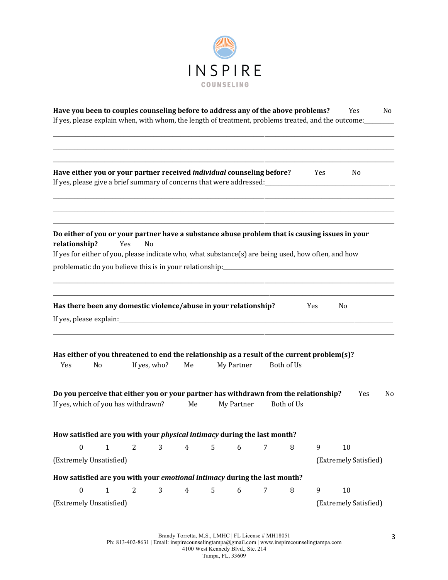

|                  | Have you been to couples counseling before to address any of the above problems?                                                                                                        |                |              |                |   |            |   |            |     | Yes<br>If yes, please explain when, with whom, the length of treatment, problems treated, and the outcome: | No |
|------------------|-----------------------------------------------------------------------------------------------------------------------------------------------------------------------------------------|----------------|--------------|----------------|---|------------|---|------------|-----|------------------------------------------------------------------------------------------------------------|----|
|                  | Have either you or your partner received individual counseling before?                                                                                                                  |                |              |                |   |            |   |            | Yes | No                                                                                                         |    |
| relationship?    | If yes for either of you, please indicate who, what substance(s) are being used, how often, and how<br>problematic do you believe this is in your relationship:________________________ | Yes<br>No      |              |                |   |            |   |            |     | Do either of you or your partner have a substance abuse problem that is causing issues in your             |    |
|                  | Has there been any domestic violence/abuse in your relationship?                                                                                                                        |                |              |                |   |            |   |            | Yes | No                                                                                                         |    |
| Yes              | Has either of you threatened to end the relationship as a result of the current problem(s)?<br>No                                                                                       |                | If yes, who? | Me             |   | My Partner |   | Both of Us |     |                                                                                                            |    |
|                  | Do you perceive that either you or your partner has withdrawn from the relationship?<br>If yes, which of you has withdrawn?                                                             |                |              | Me             |   | My Partner |   | Both of Us |     | Yes                                                                                                        | No |
|                  | How satisfied are you with your <i>physical intimacy</i> during the last month?                                                                                                         |                |              |                |   |            |   |            |     |                                                                                                            |    |
| $\boldsymbol{0}$ | $\mathbf{1}$                                                                                                                                                                            | $\overline{c}$ | 3            | $\overline{4}$ | 5 | 6          | 7 | 8          | 9   | 10                                                                                                         |    |
|                  | (Extremely Unsatisfied)                                                                                                                                                                 |                |              |                |   |            |   |            |     | (Extremely Satisfied)                                                                                      |    |
|                  | How satisfied are you with your emotional intimacy during the last month?                                                                                                               |                |              |                |   |            |   |            |     |                                                                                                            |    |
| $\boldsymbol{0}$ | $\mathbf{1}$                                                                                                                                                                            | $\overline{2}$ | 3            | $\overline{4}$ | 5 | $6\,$      | 7 | $\, 8$     | 9   | 10                                                                                                         |    |
|                  | (Extremely Unsatisfied)                                                                                                                                                                 |                |              |                |   |            |   |            |     | (Extremely Satisfied)                                                                                      |    |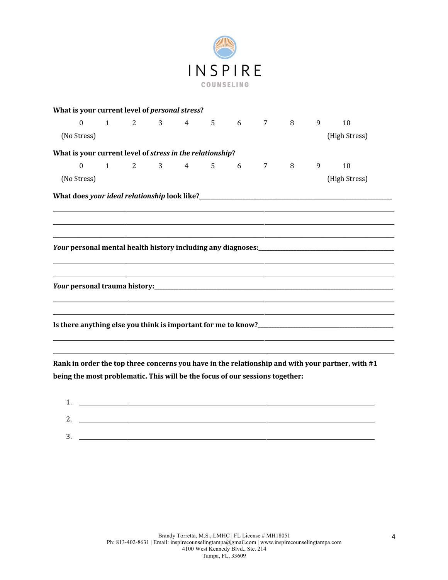

| What is your current level of personal stress?                                                                                                    |                                         |  |                 |          |   |               |  |
|---------------------------------------------------------------------------------------------------------------------------------------------------|-----------------------------------------|--|-----------------|----------|---|---------------|--|
| $\boldsymbol{0}$                                                                                                                                  | $1 \qquad 2 \qquad 3 \qquad 4 \qquad 5$ |  | $6\overline{6}$ | $7 \t 8$ | 9 | 10            |  |
| (No Stress)                                                                                                                                       |                                         |  |                 |          |   | (High Stress) |  |
| What is your current level of stress in the relationship?                                                                                         |                                         |  |                 |          |   |               |  |
| $\mathbf{0}$                                                                                                                                      | $1$ 2 3 4 5 6 7 8                       |  |                 |          | 9 | 10            |  |
| (No Stress)                                                                                                                                       |                                         |  |                 |          |   | (High Stress) |  |
|                                                                                                                                                   |                                         |  |                 |          |   |               |  |
|                                                                                                                                                   |                                         |  |                 |          |   |               |  |
|                                                                                                                                                   |                                         |  |                 |          |   |               |  |
|                                                                                                                                                   |                                         |  |                 |          |   |               |  |
|                                                                                                                                                   |                                         |  |                 |          |   |               |  |
|                                                                                                                                                   |                                         |  |                 |          |   |               |  |
|                                                                                                                                                   |                                         |  |                 |          |   |               |  |
|                                                                                                                                                   |                                         |  |                 |          |   |               |  |
|                                                                                                                                                   |                                         |  |                 |          |   |               |  |
|                                                                                                                                                   |                                         |  |                 |          |   |               |  |
|                                                                                                                                                   |                                         |  |                 |          |   |               |  |
| $\mathbf{r}$ , and $\mathbf{r}$ , and $\mathbf{r}$ , and $\mathbf{r}$ , and $\mathbf{r}$ , and $\mathbf{r}$ , and $\mathbf{r}$ , and $\mathbf{r}$ |                                         |  |                 |          |   |               |  |

Rank in order the top three concerns you have in the relationship and with your partner, with #1 being the most problematic. This will be the focus of our sessions together:

| <b>.</b> |  |
|----------|--|
|          |  |
| າ<br>٠.  |  |
|          |  |
| 3.       |  |
|          |  |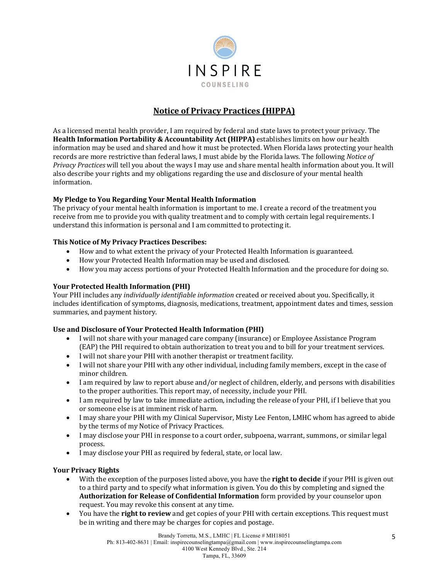

# **Notice of Privacy Practices (HIPPA)**

As a licensed mental health provider, I am required by federal and state laws to protect your privacy. The **Health Information Portability & Accountability Act (HIPPA)** establishes limits on how our health information may be used and shared and how it must be protected. When Florida laws protecting your health records are more restrictive than federal laws, I must abide by the Florida laws. The following *Notice of Privacy Practices* will tell you about the ways I may use and share mental health information about you. It will also describe your rights and my obligations regarding the use and disclosure of your mental health information. 

## **My Pledge to You Regarding Your Mental Health Information**

The privacy of your mental health information is important to me. I create a record of the treatment you receive from me to provide you with quality treatment and to comply with certain legal requirements. I understand this information is personal and I am committed to protecting it.

## **This Notice of My Privacy Practices Describes:**

- How and to what extent the privacy of your Protected Health Information is guaranteed.
- How your Protected Health Information may be used and disclosed.
- How you may access portions of your Protected Health Information and the procedure for doing so.

## **Your Protected Health Information (PHI)**

Your PHI includes any *individually identifiable information* created or received about you. Specifically, it includes identification of symptoms, diagnosis, medications, treatment, appointment dates and times, session summaries, and payment history.

## Use and Disclosure of Your Protected Health Information (PHI)

- I will not share with your managed care company (insurance) or Employee Assistance Program (EAP) the PHI required to obtain authorization to treat you and to bill for your treatment services.
- I will not share your PHI with another therapist or treatment facility.
- I will not share your PHI with any other individual, including family members, except in the case of minor children.
- I am required by law to report abuse and/or neglect of children, elderly, and persons with disabilities to the proper authorities. This report may, of necessity, include your PHI.
- I am required by law to take immediate action, including the release of your PHI, if I believe that you or someone else is at imminent risk of harm.
- I may share your PHI with my Clinical Supervisor, Misty Lee Fenton, LMHC whom has agreed to abide by the terms of my Notice of Privacy Practices.
- I may disclose your PHI in response to a court order, subpoena, warrant, summons, or similar legal process.
- I may disclose your PHI as required by federal, state, or local law.

## **Your Privacy Rights**

- With the exception of the purposes listed above, you have the **right to decide** if your PHI is given out to a third party and to specify what information is given. You do this by completing and signed the **Authorization for Release of Confidential Information** form provided by your counselor upon request. You may revoke this consent at any time.
- You have the **right to review** and get copies of your PHI with certain exceptions. This request must be in writing and there may be charges for copies and postage.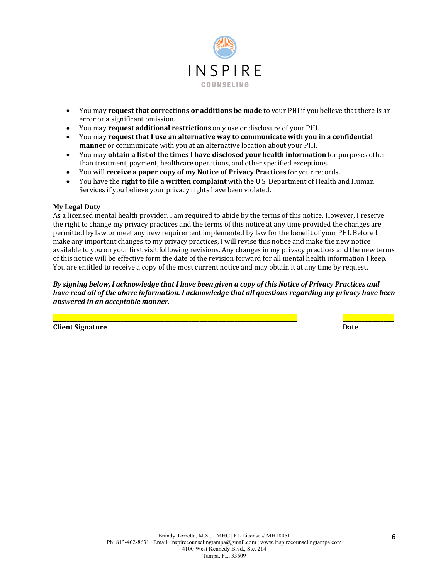

- You may **request that corrections or additions be made** to your PHI if you believe that there is an error or a significant omission.
- You may **request additional restrictions** on y use or disclosure of your PHI.
- You may **request that I use an alternative way to communicate with you in a confidential manner** or communicate with you at an alternative location about your PHI.
- You may **obtain a list of the times I have disclosed your health information** for purposes other than treatment, payment, healthcare operations, and other specified exceptions.
- You will **receive a paper copy of my Notice of Privacy Practices** for your records.
- You have the **right to file a written complaint** with the U.S. Department of Health and Human Services if you believe your privacy rights have been violated.

#### **My Legal Duty**

As a licensed mental health provider, I am required to abide by the terms of this notice. However, I reserve the right to change my privacy practices and the terms of this notice at any time provided the changes are permitted by law or meet any new requirement implemented by law for the benefit of your PHI. Before I make any important changes to my privacy practices, I will revise this notice and make the new notice available to you on your first visit following revisions. Any changes in my privacy practices and the new terms of this notice will be effective form the date of the revision forward for all mental health information I keep. You are entitled to receive a copy of the most current notice and may obtain it at any time by request.

By signing below, I acknowledge that I have been given a copy of this Notice of Privacy Practices and *have* read all of the above information. I acknowledge that all questions regarding my privacy have been *answered in an acceptable manner.*

**\_\_\_\_\_\_\_\_\_\_\_\_\_\_\_\_\_\_\_\_\_\_\_\_\_\_\_\_\_\_\_\_\_\_\_\_\_\_\_\_\_\_\_\_\_\_\_\_\_\_\_\_\_\_\_\_\_\_\_\_\_\_\_\_\_\_\_\_\_\_\_\_\_\_\_\_\_\_\_\_\_\_\_\_\_\_\_\_\_\_ \_\_\_\_\_\_\_\_\_\_\_\_\_\_\_\_\_\_\_**

**Client Signature Date**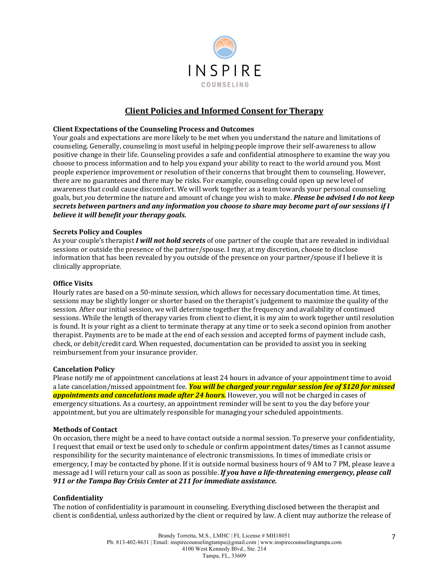

## **Client Policies and Informed Consent for Therapy**

#### **Client Expectations of the Counseling Process and Outcomes**

Your goals and expectations are more likely to be met when you understand the nature and limitations of counseling. Generally, counseling is most useful in helping people improve their self-awareness to allow positive change in their life. Counseling provides a safe and confidential atmosphere to examine the way you choose to process information and to help you expand your ability to react to the world around you. Most people experience improvement or resolution of their concerns that brought them to counseling. However, there are no guarantees and there may be risks. For example, counseling could open up new level of awareness that could cause discomfort. We will work together as a team towards your personal counseling goals, but *you* determine the nature and amount of change you wish to make. *Please be advised I do not keep* secrets between partners and any information you choose to share may become part of our sessions if I *believe it will benefit your therapy goals.* 

#### **Secrets Policy and Couples**

As your couple's therapist *I will not hold secrets* of one partner of the couple that are revealed in individual sessions or outside the presence of the partner/spouse. I may, at my discretion, choose to disclose information that has been revealed by you outside of the presence on your partner/spouse if I believe it is clinically appropriate.

#### **Office Visits**

Hourly rates are based on a 50-minute session, which allows for necessary documentation time. At times, sessions may be slightly longer or shorter based on the therapist's judgement to maximize the quality of the session. After our initial session, we will determine together the frequency and availability of continued sessions. While the length of therapy varies from client to client, it is my aim to work together until resolution is found. It is your right as a client to terminate therapy at any time or to seek a second opinion from another therapist. Payments are to be made at the end of each session and accepted forms of payment include cash, check, or debit/credit card. When requested, documentation can be provided to assist you in seeking reimbursement from your insurance provider.

#### **Cancelation Policy**

Please notify me of appointment cancelations at least 24 hours in advance of your appointment time to avoid a late cancelation/missed appointment fee. *You will be charged your regular session fee of \$120 for missed* appointments and cancelations made after 24 hours. However, you will not be charged in cases of emergency situations. As a courtesy, an appointment reminder will be sent to you the day before your appointment, but you are ultimately responsible for managing your scheduled appointments.

#### **Methods of Contact**

On occasion, there might be a need to have contact outside a normal session. To preserve your confidentiality, I request that email or text be used only to schedule or confirm appointment dates/times as I cannot assume responsibility for the security maintenance of electronic transmissions. In times of immediate crisis or emergency, I may be contacted by phone. If it is outside normal business hours of 9 AM to 7 PM, please leave a message ad I will return your call as soon as possible. *If you have a life-threatening emergency, please call* 911 or the Tampa Bay Crisis Center at 211 for immediate assistance.

#### **Confidentiality**

The notion of confidentiality is paramount in counseling. Everything disclosed between the therapist and client is confidential, unless authorized by the client or required by law. A client may authorize the release of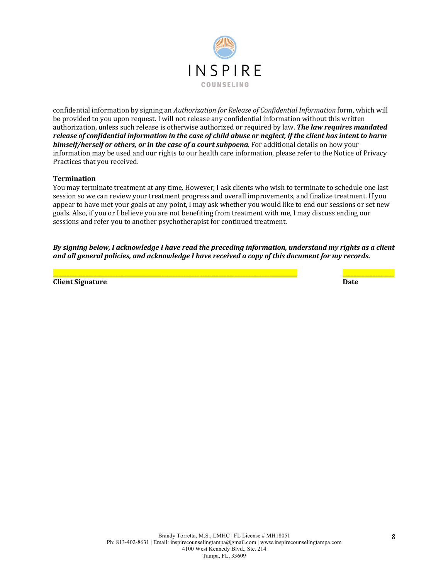

confidential information by signing an *Authorization for Release of Confidential Information* form, which will be provided to you upon request. I will not release any confidential information without this written authorization, unless such release is otherwise authorized or required by law. **The law requires mandated** *release of confidential information in the case of child abuse or neglect, if the client has intent to harm himself/herself or others, or in the case of a court subpoena.* For additional details on how your information may be used and our rights to our health care information, please refer to the Notice of Privacy Practices that you received.

#### **Termination**

You may terminate treatment at any time. However, I ask clients who wish to terminate to schedule one last session so we can review your treatment progress and overall improvements, and finalize treatment. If you appear to have met your goals at any point, I may ask whether you would like to end our sessions or set new goals. Also, if you or I believe you are not benefiting from treatment with me, I may discuss ending our sessions and refer you to another psychotherapist for continued treatment.

By signing below, I acknowledge I have read the preceding information, understand my rights as a client and all general policies, and acknowledge I have received a copy of this document for my records.

**\_\_\_\_\_\_\_\_\_\_\_\_\_\_\_\_\_\_\_\_\_\_\_\_\_\_\_\_\_\_\_\_\_\_\_\_\_\_\_\_\_\_\_\_\_\_\_\_\_\_\_\_\_\_\_\_\_\_\_\_\_\_\_\_\_\_\_\_\_\_\_\_\_\_\_\_\_\_\_\_\_\_\_\_\_\_\_\_\_\_ \_\_\_\_\_\_\_\_\_\_\_\_\_\_\_\_\_\_\_**

**Client Signature Date Date Date Date Date Date Date Date Date Date Date**